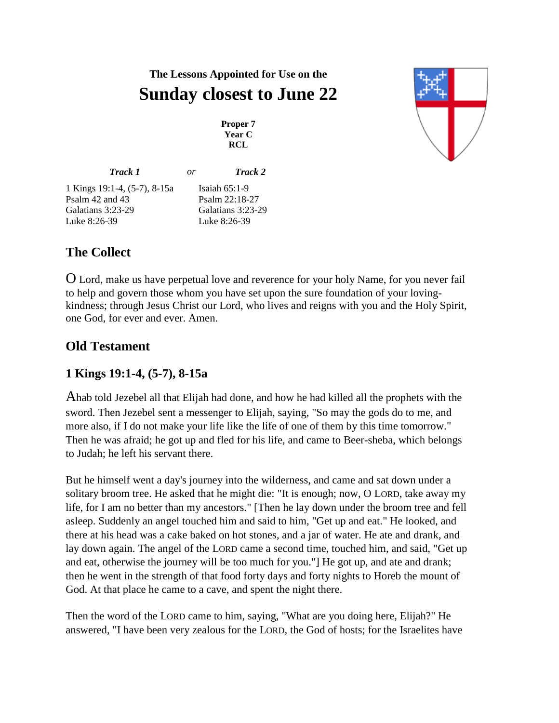# **The Lessons Appointed for Use on the Sunday closest to June 22**

**Proper 7 Year C RCL**

*Track 1 or Track 2*

1 Kings 19:1-4, (5-7), 8-15a Psalm 42 and 43 Galatians 3:23-29 Luke 8:26-39

Isaiah 65:1-9 Psalm 22:18-27 Galatians 3:23-29 Luke 8:26-39

## **The Collect**

O Lord, make us have perpetual love and reverence for your holy Name, for you never fail to help and govern those whom you have set upon the sure foundation of your lovingkindness; through Jesus Christ our Lord, who lives and reigns with you and the Holy Spirit, one God, for ever and ever. Amen.

### **Old Testament**

### **1 Kings 19:1-4, (5-7), 8-15a**

Ahab told Jezebel all that Elijah had done, and how he had killed all the prophets with the sword. Then Jezebel sent a messenger to Elijah, saying, "So may the gods do to me, and more also, if I do not make your life like the life of one of them by this time tomorrow." Then he was afraid; he got up and fled for his life, and came to Beer-sheba, which belongs to Judah; he left his servant there.

But he himself went a day's journey into the wilderness, and came and sat down under a solitary broom tree. He asked that he might die: "It is enough; now, O LORD, take away my life, for I am no better than my ancestors." [Then he lay down under the broom tree and fell asleep. Suddenly an angel touched him and said to him, "Get up and eat." He looked, and there at his head was a cake baked on hot stones, and a jar of water. He ate and drank, and lay down again. The angel of the LORD came a second time, touched him, and said, "Get up and eat, otherwise the journey will be too much for you."] He got up, and ate and drank; then he went in the strength of that food forty days and forty nights to Horeb the mount of God. At that place he came to a cave, and spent the night there.

Then the word of the LORD came to him, saying, "What are you doing here, Elijah?" He answered, "I have been very zealous for the LORD, the God of hosts; for the Israelites have

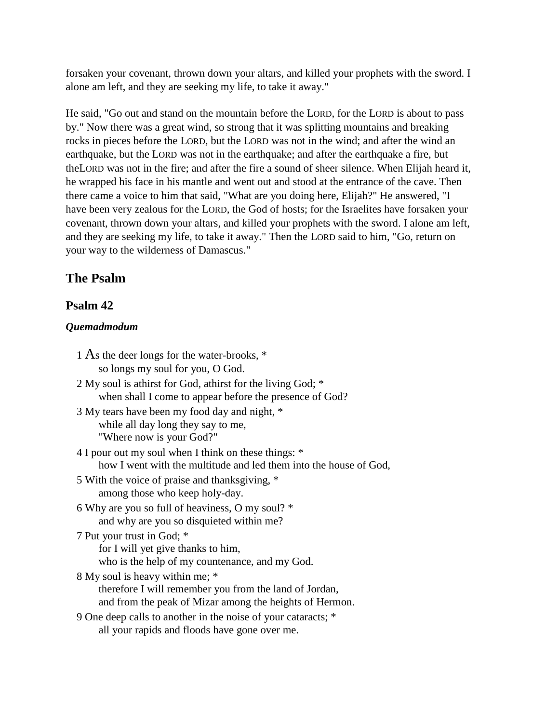forsaken your covenant, thrown down your altars, and killed your prophets with the sword. I alone am left, and they are seeking my life, to take it away."

He said, "Go out and stand on the mountain before the LORD, for the LORD is about to pass by." Now there was a great wind, so strong that it was splitting mountains and breaking rocks in pieces before the LORD, but the LORD was not in the wind; and after the wind an earthquake, but the LORD was not in the earthquake; and after the earthquake a fire, but theLORD was not in the fire; and after the fire a sound of sheer silence. When Elijah heard it, he wrapped his face in his mantle and went out and stood at the entrance of the cave. Then there came a voice to him that said, "What are you doing here, Elijah?" He answered, "I have been very zealous for the LORD, the God of hosts; for the Israelites have forsaken your covenant, thrown down your altars, and killed your prophets with the sword. I alone am left, and they are seeking my life, to take it away." Then the LORD said to him, "Go, return on your way to the wilderness of Damascus."

### **The Psalm**

### **Psalm 42**

#### *Quemadmodum*

| 1 As the deer longs for the water-brooks, *                                                                                                          |
|------------------------------------------------------------------------------------------------------------------------------------------------------|
| so longs my soul for you, O God.                                                                                                                     |
| 2 My soul is athirst for God, athirst for the living God; *<br>when shall I come to appear before the presence of God?                               |
| 3 My tears have been my food day and night, *<br>while all day long they say to me,<br>"Where now is your God?"                                      |
| 4 I pour out my soul when I think on these things: *<br>how I went with the multitude and led them into the house of God,                            |
| 5 With the voice of praise and thanksgiving, *<br>among those who keep holy-day.                                                                     |
| 6 Why are you so full of heaviness, O my soul? *<br>and why are you so disquieted within me?                                                         |
| 7 Put your trust in God; *<br>for I will yet give thanks to him,<br>who is the help of my countenance, and my God.                                   |
| 8 My soul is heavy within me; *<br>therefore I will remember you from the land of Jordan,<br>and from the peak of Mizar among the heights of Hermon. |
| 9 One deep calls to another in the noise of your cataracts; *<br>all your rapids and floods have gone over me.                                       |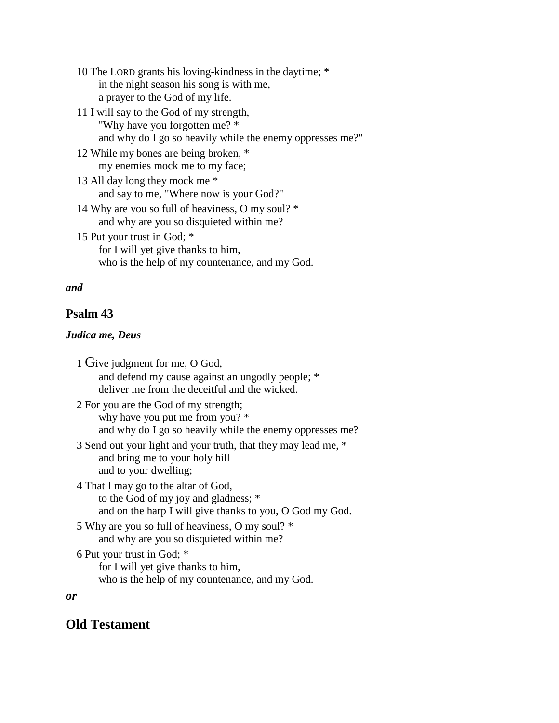- 10 The LORD grants his loving-kindness in the daytime; \* in the night season his song is with me, a prayer to the God of my life.
- 11 I will say to the God of my strength, "Why have you forgotten me? \* and why do I go so heavily while the enemy oppresses me?"
- 12 While my bones are being broken, \* my enemies mock me to my face;
- 13 All day long they mock me \* and say to me, "Where now is your God?"
- 14 Why are you so full of heaviness, O my soul? \* and why are you so disquieted within me?
- 15 Put your trust in God; \*

for I will yet give thanks to him, who is the help of my countenance, and my God.

#### *and*

#### **Psalm 43**

#### *Judica me, Deus*

- 1 Give judgment for me, O God, and defend my cause against an ungodly people; \* deliver me from the deceitful and the wicked.
- 2 For you are the God of my strength; why have you put me from you? \* and why do I go so heavily while the enemy oppresses me?
- 3 Send out your light and your truth, that they may lead me, \* and bring me to your holy hill and to your dwelling;
- 4 That I may go to the altar of God, to the God of my joy and gladness; \* and on the harp I will give thanks to you, O God my God.
- 5 Why are you so full of heaviness, O my soul? \* and why are you so disquieted within me?

6 Put your trust in God; \* for I will yet give thanks to him, who is the help of my countenance, and my God.

*or*

### **Old Testament**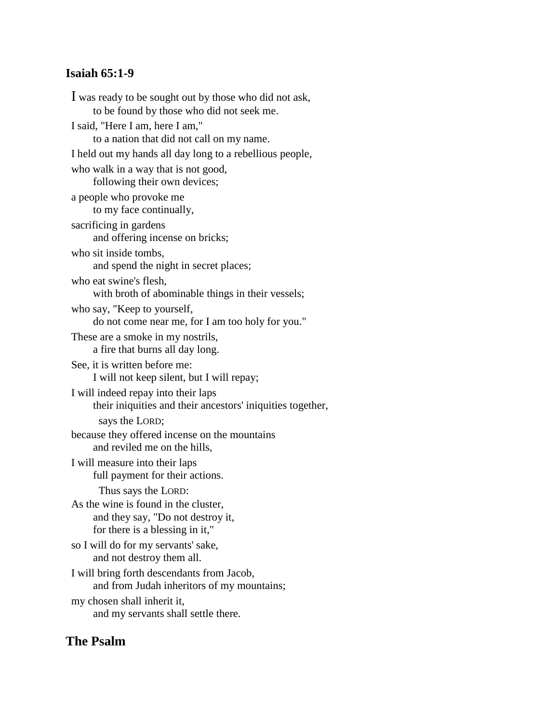#### **Isaiah 65:1-9**

I was ready to be sought out by those who did not ask, to be found by those who did not seek me. I said, "Here I am, here I am," to a nation that did not call on my name. I held out my hands all day long to a rebellious people, who walk in a way that is not good, following their own devices; a people who provoke me to my face continually, sacrificing in gardens and offering incense on bricks; who sit inside tombs. and spend the night in secret places; who eat swine's flesh, with broth of abominable things in their vessels; who say, "Keep to yourself, do not come near me, for I am too holy for you." These are a smoke in my nostrils, a fire that burns all day long. See, it is written before me: I will not keep silent, but I will repay; I will indeed repay into their laps their iniquities and their ancestors' iniquities together, says the LORD; because they offered incense on the mountains and reviled me on the hills, I will measure into their laps full payment for their actions. Thus says the LORD: As the wine is found in the cluster, and they say, "Do not destroy it, for there is a blessing in it," so I will do for my servants' sake, and not destroy them all. I will bring forth descendants from Jacob, and from Judah inheritors of my mountains; my chosen shall inherit it, and my servants shall settle there.

### **The Psalm**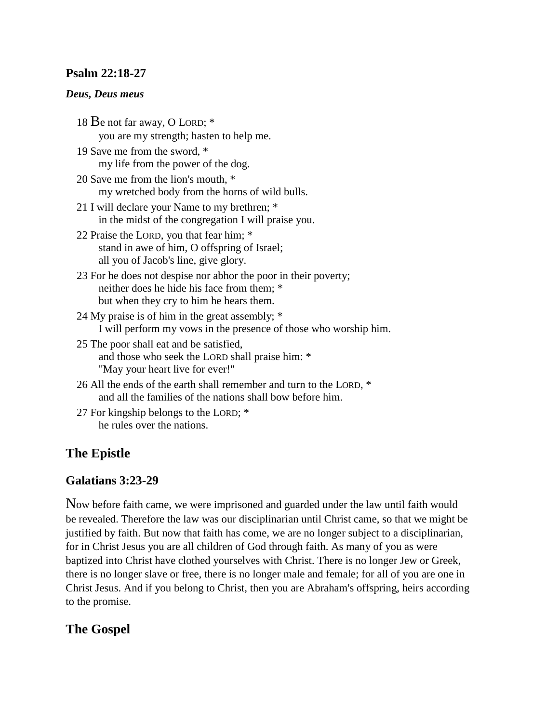### **Psalm 22:18-27**

#### *Deus, Deus meus*

- 18 Be not far away, O LORD; \* you are my strength; hasten to help me. 19 Save me from the sword, \* my life from the power of the dog. 20 Save me from the lion's mouth, \* my wretched body from the horns of wild bulls. 21 I will declare your Name to my brethren; \* in the midst of the congregation I will praise you. 22 Praise the LORD, you that fear him; \* stand in awe of him, O offspring of Israel; all you of Jacob's line, give glory. 23 For he does not despise nor abhor the poor in their poverty; neither does he hide his face from them; \* but when they cry to him he hears them. 24 My praise is of him in the great assembly; \* I will perform my vows in the presence of those who worship him. 25 The poor shall eat and be satisfied, and those who seek the LORD shall praise him: \* "May your heart live for ever!"
	- 26 All the ends of the earth shall remember and turn to the LORD, \* and all the families of the nations shall bow before him.
	- 27 For kingship belongs to the LORD; \* he rules over the nations.

### **The Epistle**

### **Galatians 3:23-29**

Now before faith came, we were imprisoned and guarded under the law until faith would be revealed. Therefore the law was our disciplinarian until Christ came, so that we might be justified by faith. But now that faith has come, we are no longer subject to a disciplinarian, for in Christ Jesus you are all children of God through faith. As many of you as were baptized into Christ have clothed yourselves with Christ. There is no longer Jew or Greek, there is no longer slave or free, there is no longer male and female; for all of you are one in Christ Jesus. And if you belong to Christ, then you are Abraham's offspring, heirs according to the promise.

### **The Gospel**